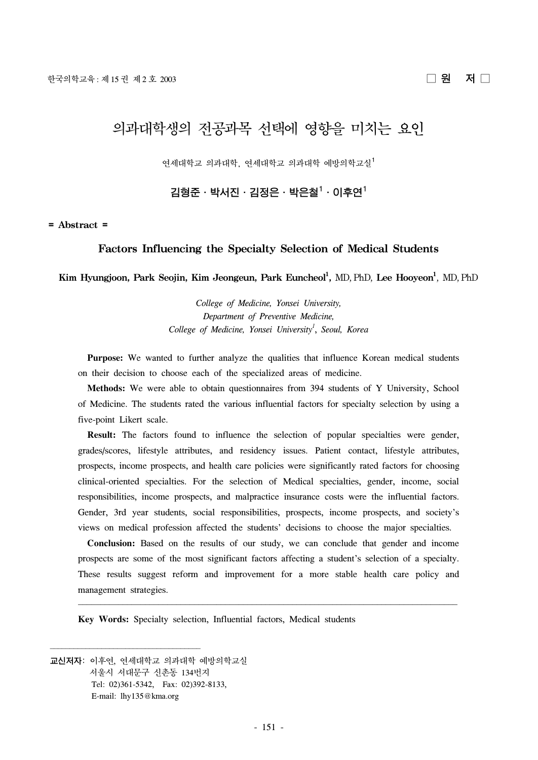# 의과대학생의 전공과목 선택에 영향을 미치는 요인

연세대학교 의과대학, 연세대학교 의과대학 예방의학교실1

김형준ㆍ박서진ㆍ김정은ㆍ박은철 $^1\cdot$  이후연 $^1$ 

#### **= Abstract =**

## **Factors Influencing the Specialty Selection of Medical Students**

**Kim Hyungjoon, Park Seojin, Kim Jeongeun, Park Euncheol1 ,** MD, PhD, **Lee Hooyeon1** , MD, PhD

*College of Medicine, Yonsei University, Department of Preventive Medicine, College of Medicine, Yonsei University1* , *Seoul, Korea*

 **Purpose:** We wanted to further analyze the qualities that influence Korean medical students on their decision to choose each of the specialized areas of medicine.

 **Methods:** We were able to obtain questionnaires from 394 students of Y University, School of Medicine. The students rated the various influential factors for specialty selection by using a five-point Likert scale.

 **Result:** The factors found to influence the selection of popular specialties were gender, grades/scores, lifestyle attributes, and residency issues. Patient contact, lifestyle attributes, prospects, income prospects, and health care policies were significantly rated factors for choosing clinical-oriented specialties. For the selection of Medical specialties, gender, income, social responsibilities, income prospects, and malpractice insurance costs were the influential factors. Gender, 3rd year students, social responsibilities, prospects, income prospects, and society's views on medical profession affected the students' decisions to choose the major specialties.

 **Conclusion:** Based on the results of our study, we can conclude that gender and income prospects are some of the most significant factors affecting a student's selection of a specialty. These results suggest reform and improvement for a more stable health care policy and management strategies.

**Key Words:** Specialty selection, Influential factors, Medical students

교신저자: 이후연, 연세대학교 의과대학 예방의학교실 서울시 서대문구 신촌동 134번지 Tel: 02)361-5342, Fax: 02)392-8133, E-mail: lhy135@kma.org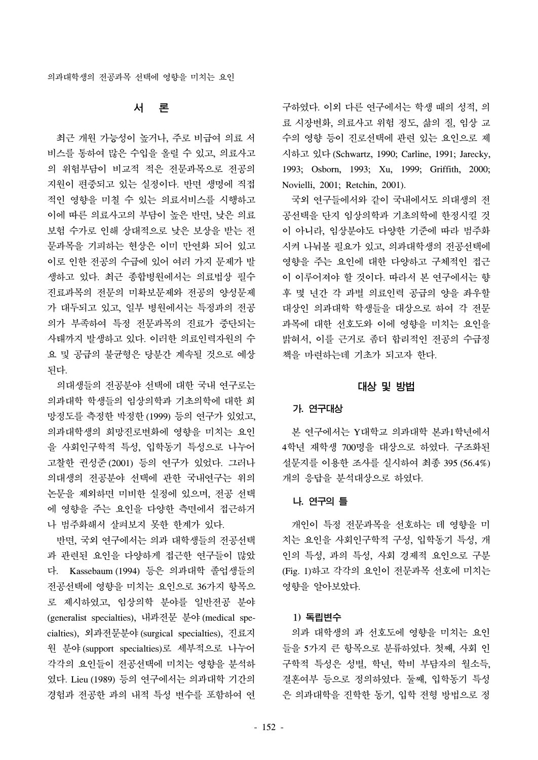# 서 론

 최근 개원 가능성이 높거나, 주로 비급여 의료 서 비스를 통하여 많은 수입을 올릴 수 있고, 의료사고 의 위험부담이 비교적 적은 전문과목으로 전공의 지원이 편중되고 있는 실정이다. 반면 생명에 직접 적인 영향을 미칠 수 있는 의료서비스를 시행하고 이에 따른 의료사고의 부담이 높은 반면, 낮은 의료 보험 수가로 인해 상대적으로 낮은 보상을 받는 전 문과목을 기피하는 현상은 이미 만연화 되어 있고 이로 인한 전공의 수급에 있어 여러 가지 문제가 발 생하고 있다. 최근 종합병원에서는 의료법상 필수 진료과목의 전문의 미확보문제와 전공의 양성문제 가 대두되고 있고, 일부 병원에서는 특정과의 전공 의가 부족하여 특정 전문과목의 진료가 중단되는 사태까지 발생하고 있다. 이러한 의료인력자원의 수 요 및 공급의 불균형은 당분간 계속될 것으로 예상 된다.

 의대생들의 전공분야 선택에 대한 국내 연구로는 의과대학 학생들의 임상의학과 기초의학에 대한 희 망정도를 측정한 박정한 (1999) 등의 연구가 있었고, 의과대학생의 희망진로변화에 영향을 미치는 요인 을 사회인구학적 특성, 입학동기 특성으로 나누어 고찰한 권성준 (2001) 등의 연구가 있었다. 그러나 의대생의 전공분야 선택에 관한 국내연구는 위의 논문을 제외하면 미비한 실정에 있으며, 전공 선택 에 영향을 주는 요인을 다양한 측면에서 접근하거 나 범주화해서 살펴보지 못한 한계가 있다.

 반면, 국외 연구에서는 의과 대학생들의 전공선택 과 관련된 요인을 다양하게 접근한 연구들이 많았 다. Kassebaum (1994) 등은 의과대학 졸업생들의 전공선택에 영향을 미치는 요인으로 36가지 항목으 로 제시하였고, 임상의학 분야를 일반전공 분야 (generalist specialties), 내과전문 분야 (medical specialties), 외과전문분야 (surgical specialties), 진료지 원 분야 (support specialties)로 세부적으로 나누어 각각의 요인들이 전공선택에 미치는 영향을 분석하 였다. Lieu (1989) 등의 연구에서는 의과대학 기간의 경험과 전공한 과의 내적 특성 변수를 포함하여 연 구하였다. 이외 다른 연구에서는 학생 때의 성적, 의 료 시장변화, 의료사고 위험 정도, 삶의 질, 임상 교 수의 영향 등이 진로선택에 관련 있는 요인으로 제 시하고 있다 (Schwartz, 1990; Carline, 1991; Jarecky, 1993; Osborn, 1993; Xu, 1999; Griffith, 2000; Novielli, 2001; Retchin, 2001).

 국외 연구들에서와 같이 국내에서도 의대생의 전 공선택을 단지 임상의학과 기초의학에 한정시킬 것 이 아니라, 임상분야도 다양한 기준에 따라 범주화 시켜 나눠볼 필요가 있고, 의과대학생의 전공선택에 영향을 주는 요인에 대한 다양하고 구체적인 접근 이 이루어져야 할 것이다. 따라서 본 연구에서는 향 후 몇 년간 각 과별 의료인력 공급의 양을 좌우할 대상인 의과대학 학생들을 대상으로 하여 각 전문 과목에 대한 선호도와 이에 영향을 미치는 요인을 밝혀서, 이를 근거로 좀더 합리적인 전공의 수급정 책을 마련하는데 기초가 되고자 한다.

## 대상 및 방법

## 가. 연구대상

 본 연구에서는 Y대학교 의과대학 본과1학년에서 4학년 재학생 700명을 대상으로 하였다. 구조화된 설문지를 이용한 조사를 실시하여 최종 395 (56.4%) 개의 응답을 분석대상으로 하였다.

## 나. 연구의 틀

 개인이 특정 전문과목을 선호하는 데 영향을 미 치는 요인을 사회인구학적 구성, 입학동기 특성, 개 인의 특성, 과의 특성, 사회 경제적 요인으로 구분 (Fig. 1)하고 각각의 요인이 전문과목 선호에 미치는 영향을 알아보았다.

#### 1) 독립변수

 의과 대학생의 과 선호도에 영향을 미치는 요인 들을 5가지 큰 항목으로 분류하였다. 첫째, 사회 인 구학적 특성은 성별, 학년, 학비 부담자의 월소득, 결혼여부 등으로 정의하였다. 둘째, 입학동기 특성 은 의과대학을 진학한 동기, 입학 전형 방법으로 정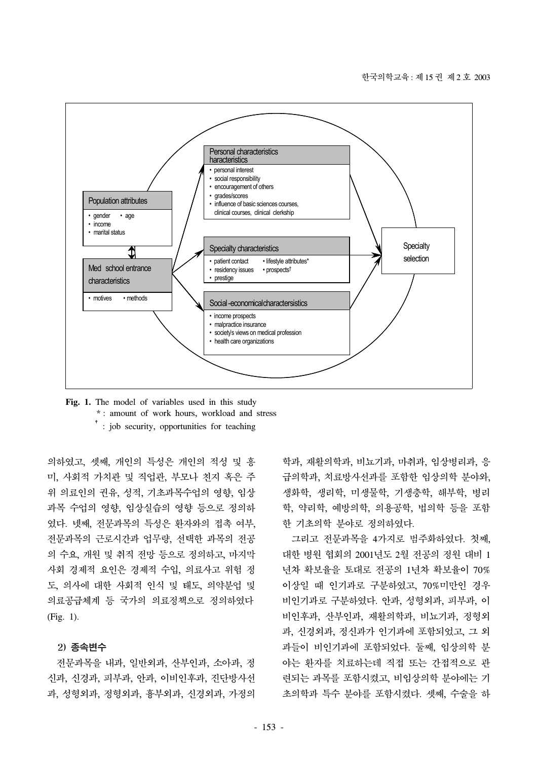

**Fig. 1.** The model of variables used in this study \* : amount of work hours, workload and stress <sup>†</sup>: job security, opportunities for teaching

의하였고, 셋째, 개인의 특성은 개인의 적성 및 흥 미, 사회적 가치관 및 직업관, 부모나 친지 혹은 주 위 의료인의 권유, 성적, 기초과목수업의 영향, 임상 과목 수업의 영향, 임상실습의 영향 등으로 정의하 였다. 넷째, 전문과목의 특성은 환자와의 접촉 여부, 전문과목의 근로시간과 업무량, 선택한 과목의 전공 의 수요, 개원 및 취직 전망 등으로 정의하고, 마지막 사회 경제적 요인은 경제적 수입, 의료사고 위험 정 도, 의사에 대한 사회적 인식 및 태도, 의약분업 및 의료공급체계 등 국가의 의료정책으로 정의하였다 (Fig. 1).

#### 2) 종속변수

 전문과목을 내과, 일반외과, 산부인과, 소아과, 정 신과, 신경과, 피부과, 안과, 이비인후과, 진단방사선 과, 성형외과, 정형외과, 흉부외과, 신경외과, 가정의

학과, 재활의학과, 비뇨기과, 마취과, 임상병리과, 응 급의학과, 치료방사선과를 포함한 임상의학 분야와, 생화학, 생리학, 미생물학, 기생충학, 해부학, 병리 학, 약리학, 예방의학, 의용공학, 법의학 등을 포함 한 기초의학 분야로 정의하였다.

 그리고 전문과목을 4가지로 범주화하였다. 첫째, 대한 병원 협회의 2001년도 2월 전공의 정원 대비 1 년차 확보율을 토대로 전공의 1년차 확보율이 70% 이상일 때 인기과로 구분하였고, 70%미만인 경우 비인기과로 구분하였다. 안과, 성형외과, 피부과, 이 비인후과, 산부인과, 재활의학과, 비뇨기과, 정형외 과, 신경외과, 정신과가 인기과에 포함되었고, 그 외 과들이 비인기과에 포함되었다. 둘째, 임상의학 분 야는 환자를 치료하는데 직접 또는 간접적으로 관 련되는 과목를 포함시켰고, 비임상의학 분야에는 기 초의학과 특수 분야를 포함시켰다. 셋째, 수술을 하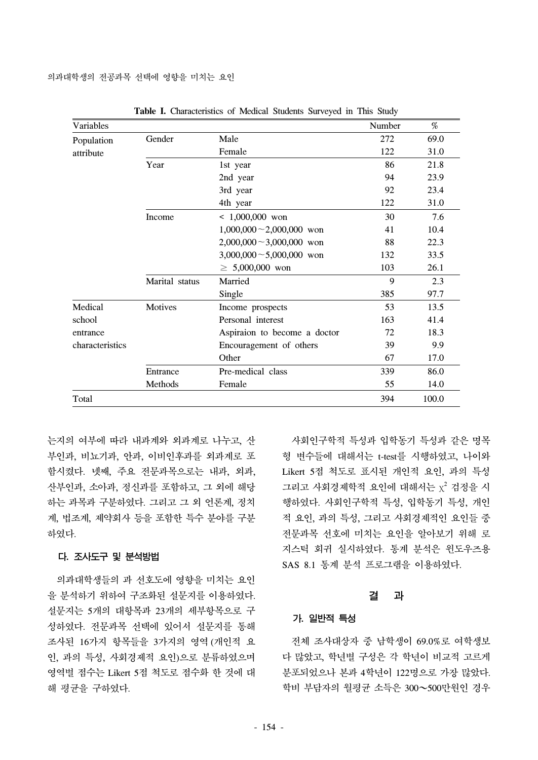| Variables       |                |                                | Number | %     |
|-----------------|----------------|--------------------------------|--------|-------|
| Population      | Gender<br>Male |                                | 272    | 69.0  |
| attribute       |                | Female                         | 122    | 31.0  |
|                 | Year           | 1st year                       | 86     | 21.8  |
|                 |                | 2nd year                       | 94     | 23.9  |
|                 |                | 3rd year                       | 92     | 23.4  |
|                 |                | 4th year                       | 122    | 31.0  |
|                 | Income         | $< 1,000,000$ won              | 30     | 7.6   |
|                 |                | $1,000,000 \sim 2,000,000$ won | 41     | 10.4  |
|                 |                | $2,000,000 \sim 3,000,000$ won | 88     | 22.3  |
|                 |                | $3,000,000 \sim 5,000,000$ won | 132    | 33.5  |
|                 |                | $\geq 5,000,000$ won           | 103    | 26.1  |
|                 | Marital status | Married                        | 9      | 2.3   |
|                 |                | Single                         | 385    | 97.7  |
| Medical         | Motives        | Income prospects               | 53     | 13.5  |
| school          |                | Personal interest              | 163    | 41.4  |
| entrance        |                | Aspiraion to become a doctor   | 72     | 18.3  |
| characteristics |                | Encouragement of others        | 39     | 9.9   |
|                 |                | Other                          | 67     | 17.0  |
|                 | Entrance       | Pre-medical class              | 339    | 86.0  |
|                 | Methods        | Female                         | 55     | 14.0  |
| Total           |                |                                | 394    | 100.0 |

**Table I.** Characteristics of Medical Students Surveyed in This Study

는지의 여부에 따라 내과계와 외과계로 나누고, 산 부인과, 비뇨기과, 안과, 이비인후과를 외과계로 포 함시켰다. 넷째, 주요 전문과목으로는 내과, 외과, 산부인과, 소아과, 정신과를 포함하고, 그 외에 해당 하는 과목과 구분하였다. 그리고 그 외 언론계, 정치 계, 법조계, 제약회사 등을 포함한 특수 분야를 구분 하였다.

## 다. 조사도구 및 분석방법

 의과대학생들의 과 선호도에 영향을 미치는 요인 을 분석하기 위하여 구조화된 설문지를 이용하였다. 설문지는 5개의 대항목과 23개의 세부항목으로 구 성하였다. 전문과목 선택에 있어서 설문지를 통해 조사된 16가지 항목들을 3가지의 영역 (개인적 요 인, 과의 특성, 사회경제적 요인)으로 분류하였으며 영역별 점수는 Likert 5점 척도로 점수화 한 것에 대 해 평균을 구하였다.

 사회인구학적 특성과 입학동기 특성과 같은 명목 형 변수들에 대해서는 t-test를 시행하였고, 나이와 Likert 5점 척도로 표시된 개인적 요인, 과의 특성 그리고 사회경제학적 요인에 대해서는  $\chi^2$  검정을 시 행하였다. 사회인구학적 특성, 입학동기 특성, 개인 적 요인, 과의 특성, 그리고 사회경제적인 요인들 중 전문과목 선호에 미치는 요인을 알아보기 위해 로 지스틱 회귀 실시하였다. 통계 분석은 윈도우즈용 SAS 8.1 통계 분석 프로그램을 이용하였다.

#### 결 과

## 가. 일반적 특성

 전체 조사대상자 중 남학생이 69.0%로 여학생보 다 많았고, 학년별 구성은 각 학년이 비교적 고르게 분포되었으나 본과 4학년이 122명으로 가장 많았다. 학비 부담자의 월평균 소득은 300~500만원인 경우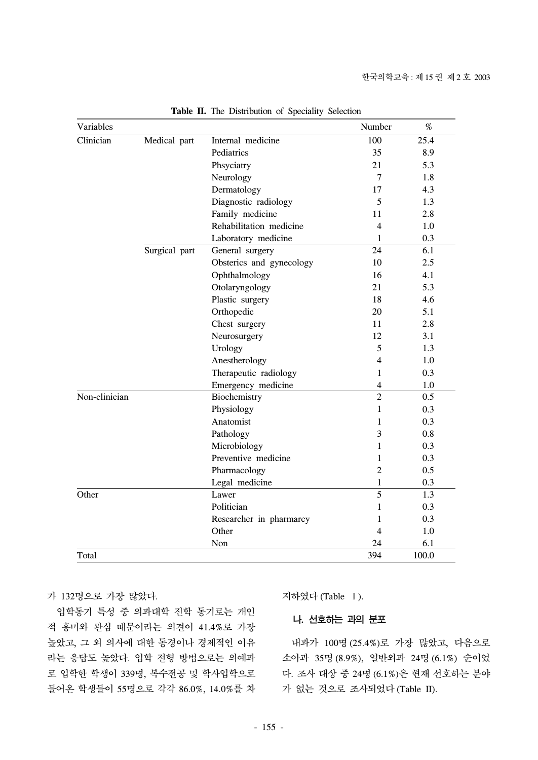| Variables     |               |                          | Number         | $\%$  |
|---------------|---------------|--------------------------|----------------|-------|
| Clinician     | Medical part  | Internal medicine        | 100            | 25.4  |
|               |               | Pediatrics               | 35             | 8.9   |
|               |               | Phsyciatry               | 21             | 5.3   |
|               |               | Neurology                | $\overline{7}$ | 1.8   |
|               |               | Dermatology              | 17             | 4.3   |
|               |               | Diagnostic radiology     | 5              | 1.3   |
|               |               | Family medicine          | 11             | 2.8   |
|               |               | Rehabilitation medicine  | $\overline{4}$ | 1.0   |
|               |               | Laboratory medicine      | $\mathbf{1}$   | 0.3   |
|               | Surgical part | General surgery          | 24             | 6.1   |
|               |               | Obsterics and gynecology | 10             | 2.5   |
|               |               | Ophthalmology            | 16             | 4.1   |
|               |               | Otolaryngology           | 21             | 5.3   |
|               |               | Plastic surgery          | 18             | 4.6   |
|               |               | Orthopedic               | 20             | 5.1   |
|               |               | Chest surgery            | 11             | 2.8   |
|               |               | Neurosurgery             | 12             | 3.1   |
|               |               | Urology                  | 5              | 1.3   |
|               |               | Anestherology            | 4              | 1.0   |
|               |               | Therapeutic radiology    | $\mathbf{1}$   | 0.3   |
|               |               | Emergency medicine       | $\overline{4}$ | 1.0   |
| Non-clinician |               | Biochemistry             | $\overline{2}$ | 0.5   |
|               |               | Physiology               | $\mathbf{1}$   | 0.3   |
|               |               | Anatomist                | 1              | 0.3   |
|               |               | Pathology                | 3              | 0.8   |
|               |               | Microbiology             | 1              | 0.3   |
|               |               | Preventive medicine      | 1              | 0.3   |
|               |               | Pharmacology             | $\overline{2}$ | 0.5   |
|               |               | Legal medicine           | $\mathbf{1}$   | 0.3   |
| Other         |               | Lawer                    | 5              | 1.3   |
|               |               | Politician               | 1              | 0.3   |
|               |               | Researcher in pharmarcy  | 1              | 0.3   |
|               |               | Other                    | 4              | 1.0   |
|               |               | Non                      | 24             | 6.1   |
| Total         |               |                          | 394            | 100.0 |

**Table II.** The Distribution of Speciality Selection

가 132명으로 가장 많았다.

 입학동기 특성 중 의과대학 진학 동기로는 개인 적 흥미와 관심 때문이라는 의견이 41.4%로 가장 높았고, 그 외 의사에 대한 동경이나 경제적인 이유 라는 응답도 높았다. 입학 전형 방법으로는 의예과 로 입학한 학생이 339명, 복수전공 및 학사입학으로 들어온 학생들이 55명으로 각각 86.0%, 14.0%를 차 지하였다 (Table Ⅰ).

나. 선호하는 과의 분포

 내과가 100명 (25.4%)로 가장 많았고, 다음으로 소아과 35명 (8.9%), 일반외과 24명 (6.1%) 순이었 다. 조사 대상 중 24명 (6.1%)은 현재 선호하는 분야 가 없는 것으로 조사되었다 (Table II).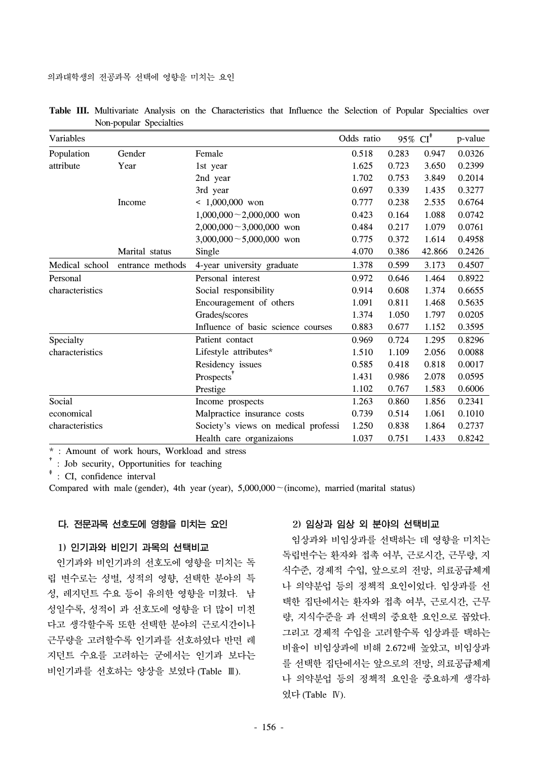| Variables       |                  |                                     | Odds ratio | 95% $CI^*$ |        | p-value |
|-----------------|------------------|-------------------------------------|------------|------------|--------|---------|
| Population      | Gender           | Female                              | 0.518      | 0.283      | 0.947  | 0.0326  |
| attribute       | Year             | 1st year                            | 1.625      | 0.723      | 3.650  | 0.2399  |
|                 |                  | 2nd year                            | 1.702      | 0.753      | 3.849  | 0.2014  |
|                 |                  | 3rd year                            | 0.697      | 0.339      | 1.435  | 0.3277  |
|                 | Income           | $< 1,000,000$ won                   | 0.777      | 0.238      | 2.535  | 0.6764  |
|                 |                  | $1,000,000 - 2,000,000$ won         | 0.423      | 0.164      | 1.088  | 0.0742  |
|                 |                  | $2,000,000 \sim 3,000,000$ won      | 0.484      | 0.217      | 1.079  | 0.0761  |
|                 |                  | $3,000,000 \sim 5,000,000$ won      | 0.775      | 0.372      | 1.614  | 0.4958  |
|                 | Marital status   | Single                              | 4.070      | 0.386      | 42.866 | 0.2426  |
| Medical school  | entrance methods | 4-year university graduate          | 1.378      | 0.599      | 3.173  | 0.4507  |
| Personal        |                  | Personal interest                   | 0.972      | 0.646      | 1.464  | 0.8922  |
| characteristics |                  | Social responsibility               | 0.914      | 0.608      | 1.374  | 0.6655  |
|                 |                  | Encouragement of others             | 1.091      | 0.811      | 1.468  | 0.5635  |
|                 |                  | Grades/scores                       | 1.374      | 1.050      | 1.797  | 0.0205  |
|                 |                  | Influence of basic science courses  | 0.883      | 0.677      | 1.152  | 0.3595  |
| Specialty       |                  | Patient contact                     | 0.969      | 0.724      | 1.295  | 0.8296  |
| characteristics |                  | Lifestyle attributes*               | 1.510      | 1.109      | 2.056  | 0.0088  |
|                 |                  | Residency issues                    | 0.585      | 0.418      | 0.818  | 0.0017  |
|                 |                  | Prospects'                          | 1.431      | 0.986      | 2.078  | 0.0595  |
|                 |                  | Prestige                            | 1.102      | 0.767      | 1.583  | 0.6006  |
| Social          |                  | Income prospects                    | 1.263      | 0.860      | 1.856  | 0.2341  |
| economical      |                  | Malpractice insurance costs         | 0.739      | 0.514      | 1.061  | 0.1010  |
| characteristics |                  | Society's views on medical professi | 1.250      | 0.838      | 1.864  | 0.2737  |
|                 |                  | Health care organizaions            | 1.037      | 0.751      | 1.433  | 0.8242  |

|  |                         |  | Table III. Multivariate Analysis on the Characteristics that Influence the Selection of Popular Specialties over |  |  |  |  |
|--|-------------------------|--|------------------------------------------------------------------------------------------------------------------|--|--|--|--|
|  | Non-popular Specialties |  |                                                                                                                  |  |  |  |  |

† : Job security, Opportunities for teaching

‡ : CI, confidence interval

Compared with male (gender), 4th year (year),  $5,000,000 \sim (income)$ , married (marital status)

## 다. 전문과목 선호도에 영향을 미치는 요인

## 1) 인기과와 비인기 과목의 선택비교

 인기과와 비인기과의 선호도에 영향을 미치는 독 립 변수로는 성별, 성적의 영향, 선택한 분야의 특 성, 레지던트 수요 등이 유의한 영향을 미쳤다. 남 성일수록, 성적이 과 선호도에 영향을 더 많이 미친 다고 생각할수록 또한 선택한 분야의 근로시간이나 근무량을 고려할수록 인기과를 선호하였다 반면 레 지던트 수요를 고려하는 군에서는 인기과 보다는 비인기과를 선호하는 양상을 보였다 (Table Ⅲ).

## 2) 임상과 임상 외 분야의 선택비교

 임상과와 비임상과를 선택하는 데 영향을 미치는 독립변수는 환자와 접촉 여부, 근로시간, 근무량, 지 식수준, 경제적 수입, 앞으로의 전망, 의료공급체계 나 의약분업 등의 정책적 요인이었다. 임상과를 선 택한 집단에서는 환자와 접촉 여부, 근로시간, 근무 량, 지식수준을 과 선택의 중요한 요인으로 꼽았다. 그리고 경제적 수입을 고려할수록 임상과를 택하는 비율이 비임상과에 비해 2.672배 높았고, 비임상과 를 선택한 집단에서는 앞으로의 전망, 의료공급체계 나 의약분업 등의 정책적 요인을 중요하게 생각하 였다 (Table Ⅳ).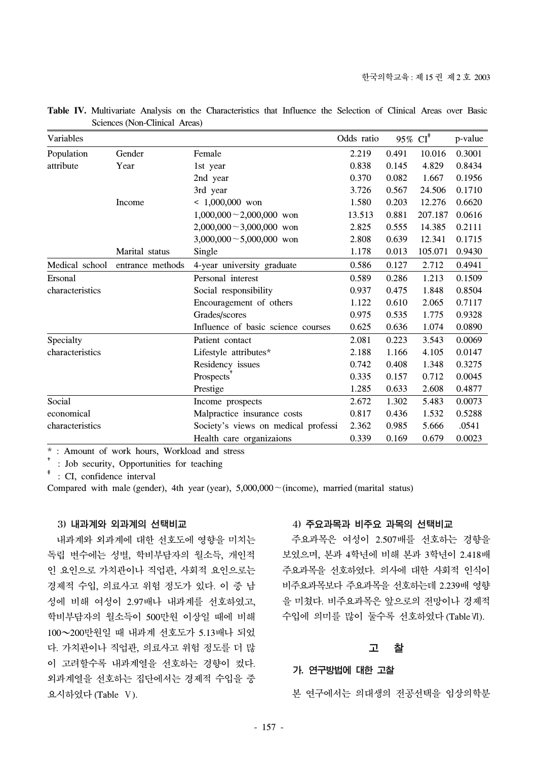| Variables       |                  |                                     | Odds ratio |       | 95% $CI^*$ | p-value |
|-----------------|------------------|-------------------------------------|------------|-------|------------|---------|
| Population      | Gender           | Female                              | 2.219      | 0.491 | 10.016     | 0.3001  |
| attribute       | Year             | 1st year                            | 0.838      | 0.145 | 4.829      | 0.8434  |
|                 |                  | 2nd year                            | 0.370      | 0.082 | 1.667      | 0.1956  |
|                 |                  | 3rd year                            | 3.726      | 0.567 | 24.506     | 0.1710  |
|                 | Income           | $< 1,000,000$ won                   | 1.580      | 0.203 | 12.276     | 0.6620  |
|                 |                  | $1,000,000 - 2,000,000$ won         | 13.513     | 0.881 | 207.187    | 0.0616  |
|                 |                  | $2,000,000 \sim 3,000,000$ won      | 2.825      | 0.555 | 14.385     | 0.2111  |
|                 |                  | $3,000,000 \sim 5,000,000$ won      | 2.808      | 0.639 | 12.341     | 0.1715  |
|                 | Marital status   | Single                              | 1.178      | 0.013 | 105.071    | 0.9430  |
| Medical school  | entrance methods | 4-year university graduate          | 0.586      | 0.127 | 2.712      | 0.4941  |
| Ersonal         |                  | Personal interest                   | 0.589      | 0.286 | 1.213      | 0.1509  |
| characteristics |                  | Social responsibility               | 0.937      | 0.475 | 1.848      | 0.8504  |
|                 |                  | Encouragement of others             | 1.122      | 0.610 | 2.065      | 0.7117  |
|                 |                  | Grades/scores                       | 0.975      | 0.535 | 1.775      | 0.9328  |
|                 |                  | Influence of basic science courses  | 0.625      | 0.636 | 1.074      | 0.0890  |
| Specialty       |                  | Patient contact                     | 2.081      | 0.223 | 3.543      | 0.0069  |
| characteristics |                  | Lifestyle attributes*               | 2.188      | 1.166 | 4.105      | 0.0147  |
|                 |                  | Residency issues                    | 0.742      | 0.408 | 1.348      | 0.3275  |
|                 |                  | Prospects                           | 0.335      | 0.157 | 0.712      | 0.0045  |
|                 |                  | Prestige                            | 1.285      | 0.633 | 2.608      | 0.4877  |
| Social          |                  | Income prospects                    | 2.672      | 1.302 | 5.483      | 0.0073  |
| economical      |                  | Malpractice insurance costs         | 0.817      | 0.436 | 1.532      | 0.5288  |
| characteristics |                  | Society's views on medical professi | 2.362      | 0.985 | 5.666      | .0541   |
|                 |                  | Health care organizaions            | 0.339      | 0.169 | 0.679      | 0.0023  |

**Table IV.** Multivariate Analysis on the Characteristics that Influence the Selection of Clinical Areas over Basic Sciences (Non-Clinical Areas)

† : Job security, Opportunities for teaching

‡ : CI, confidence interval

Compared with male (gender), 4th year (year), 5,000,000~(income), married (marital status)

#### 3) 내과계와 외과계의 선택비교

 내과계와 외과계에 대한 선호도에 영향을 미치는 독립 변수에는 성별, 학비부담자의 월소득, 개인적 인 요인으로 가치관이나 직업관, 사회적 요인으로는 경제적 수입, 의료사고 위험 정도가 있다. 이 중 남 성에 비해 여성이 2.97배나 내과계를 선호하였고, 학비부담자의 월소득이 500만원 이상일 때에 비해 100~200만원일 때 내과계 선호도가 5.13배나 되었 다. 가치관이나 직업관, 의료사고 위험 정도를 더 많 이 고려할수록 내과계열을 선호하는 경향이 컸다. 외과계열을 선호하는 집단에서는 경제적 수입을 중 요시하였다 (Table Ⅴ).

#### 4) 주요과목과 비주요 과목의 선택비교

 주요과목은 여성이 2.507배를 선호하는 경향을 보였으며, 본과 4학년에 비해 본과 3학년이 2.418배 주요과목을 선호하였다. 의사에 대한 사회적 인식이 비주요과목보다 주요과목을 선호하는데 2.239배 영향 을 미쳤다. 비주요과목은 앞으로의 전망이나 경제적 수입에 의미를 많이 둘수록 선호하였다 (TableⅥ).

## 고 찰

## 가. 연구방법에 대한 고찰

본 연구에서는 의대생의 전공선택을 임상의학분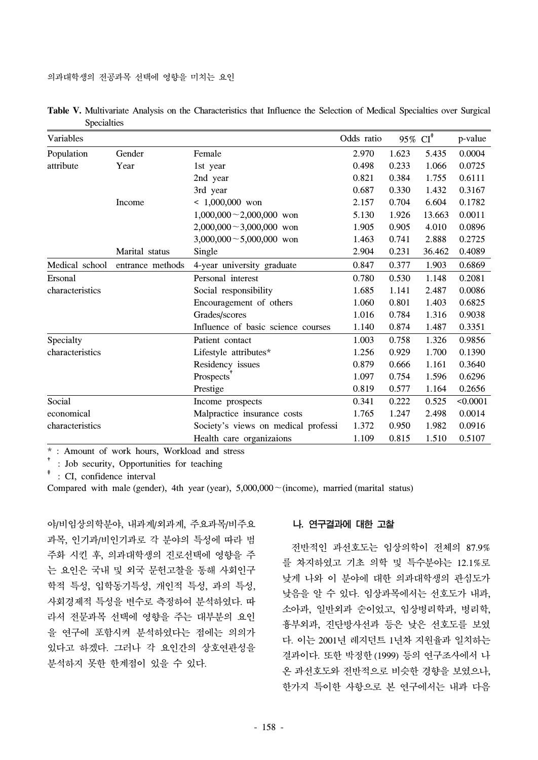| Variables       |                  |                                     | Odds ratio | 95% $CI^*$ |        | p-value  |
|-----------------|------------------|-------------------------------------|------------|------------|--------|----------|
| Population      | Gender           | Female                              | 2.970      | 1.623      | 5.435  | 0.0004   |
| attribute       | Year             | 1st year                            | 0.498      | 0.233      | 1.066  | 0.0725   |
|                 |                  | 2nd year                            | 0.821      | 0.384      | 1.755  | 0.6111   |
|                 |                  | 3rd year                            | 0.687      | 0.330      | 1.432  | 0.3167   |
|                 | Income           | $< 1,000,000$ won                   | 2.157      | 0.704      | 6.604  | 0.1782   |
|                 |                  | $1,000,000 \sim 2,000,000$ won      | 5.130      | 1.926      | 13.663 | 0.0011   |
|                 |                  | $2,000,000 \sim 3,000,000$ won      | 1.905      | 0.905      | 4.010  | 0.0896   |
|                 |                  | $3,000,000 \sim 5,000,000$ won      | 1.463      | 0.741      | 2.888  | 0.2725   |
|                 | Marital status   | Single                              | 2.904      | 0.231      | 36.462 | 0.4089   |
| Medical school  | entrance methods | 4-year university graduate          | 0.847      | 0.377      | 1.903  | 0.6869   |
| Ersonal         |                  | Personal interest                   | 0.780      | 0.530      | 1.148  | 0.2081   |
| characteristics |                  | Social responsibility               | 1.685      | 1.141      | 2.487  | 0.0086   |
|                 |                  | Encouragement of others             | 1.060      | 0.801      | 1.403  | 0.6825   |
|                 |                  | Grades/scores                       | 1.016      | 0.784      | 1.316  | 0.9038   |
|                 |                  | Influence of basic science courses  | 1.140      | 0.874      | 1.487  | 0.3351   |
| Specialty       |                  | Patient contact                     | 1.003      | 0.758      | 1.326  | 0.9856   |
| characteristics |                  | Lifestyle attributes*               | 1.256      | 0.929      | 1.700  | 0.1390   |
|                 |                  | Residency issues                    | 0.879      | 0.666      | 1.161  | 0.3640   |
|                 |                  | Prospects                           | 1.097      | 0.754      | 1.596  | 0.6296   |
|                 |                  | Prestige                            | 0.819      | 0.577      | 1.164  | 0.2656   |
| Social          |                  | Income prospects                    | 0.341      | 0.222      | 0.525  | < 0.0001 |
| economical      |                  | Malpractice insurance costs         | 1.765      | 1.247      | 2.498  | 0.0014   |
| characteristics |                  | Society's views on medical professi | 1.372      | 0.950      | 1.982  | 0.0916   |
|                 |                  | Health care organizaions            | 1.109      | 0.815      | 1.510  | 0.5107   |

**Table V.** Multivariate Analysis on the Characteristics that Influence the Selection of Medical Specialties over Surgical Specialties

† : Job security, Opportunities for teaching

‡ : CI, confidence interval

Compared with male (gender), 4th year (year), 5,000,000~(income), married (marital status)

야/비임상의학분야, 내과계/외과계, 주요과목/비주요 과목, 인기과/비인기과로 각 분야의 특성에 따라 범 주화 시킨 후, 의과대학생의 진로선택에 영향을 주 는 요인은 국내 및 외국 문헌고찰을 통해 사회인구 학적 특성, 입학동기특성, 개인적 특성, 과의 특성, 사회경제적 특성을 변수로 측정하여 분석하였다. 따 라서 전문과목 선택에 영향을 주는 대부분의 요인 을 연구에 포함시켜 분석하였다는 점에는 의의가 있다고 하겠다. 그러나 각 요인간의 상호연관성을 분석하지 못한 한계점이 있을 수 있다.

## 나. 연구결과에 대한 고찰

 전반적인 과선호도는 임상의학이 전체의 87.9% 를 차지하였고 기초 의학 및 특수분야는 12.1%로 낮게 나와 이 분야에 대한 의과대학생의 관심도가 낮음을 알 수 있다. 임상과목에서는 선호도가 내과, 소아과, 일반외과 순이었고, 임상병리학과, 병리학, 흉부외과, 진단방사선과 등은 낮은 선호도를 보였 다. 이는 2001년 레지던트 1년차 지원율과 일치하는 결과이다. 또한 박정한 (1999) 등의 연구조사에서 나 온 과선호도와 전반적으로 비슷한 경향을 보였으나, 한가지 특이한 사항으로 본 연구에서는 내과 다음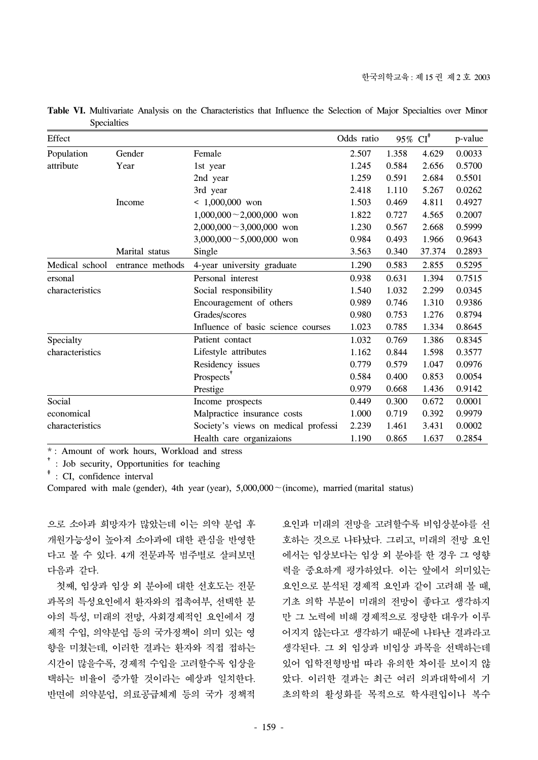| Effect          |                  |                                     | Odds ratio | 95% CI <sup>*</sup> |        | p-value |
|-----------------|------------------|-------------------------------------|------------|---------------------|--------|---------|
| Population      | Gender           | Female                              | 2.507      | 1.358               | 4.629  | 0.0033  |
| attribute       | Year             | 1st year                            | 1.245      | 0.584               | 2.656  | 0.5700  |
|                 |                  | 2nd year                            | 1.259      | 0.591               | 2.684  | 0.5501  |
|                 |                  | 3rd year                            | 2.418      | 1.110               | 5.267  | 0.0262  |
|                 | Income           | $< 1,000,000$ won                   | 1.503      | 0.469               | 4.811  | 0.4927  |
|                 |                  | $1,000,000 - 2,000,000$ won         | 1.822      | 0.727               | 4.565  | 0.2007  |
|                 |                  | $2,000,000 \sim 3,000,000$ won      | 1.230      | 0.567               | 2.668  | 0.5999  |
|                 |                  | $3,000,000 \sim 5,000,000$ won      | 0.984      | 0.493               | 1.966  | 0.9643  |
|                 | Marital status   | Single                              | 3.563      | 0.340               | 37.374 | 0.2893  |
| Medical school  | entrance methods | 4-year university graduate          | 1.290      | 0.583               | 2.855  | 0.5295  |
| ersonal         |                  | Personal interest                   | 0.938      | 0.631               | 1.394  | 0.7515  |
| characteristics |                  | Social responsibility               | 1.540      | 1.032               | 2.299  | 0.0345  |
|                 |                  | Encouragement of others             | 0.989      | 0.746               | 1.310  | 0.9386  |
|                 |                  | Grades/scores                       | 0.980      | 0.753               | 1.276  | 0.8794  |
|                 |                  | Influence of basic science courses  | 1.023      | 0.785               | 1.334  | 0.8645  |
| Specialty       |                  | Patient contact                     | 1.032      | 0.769               | 1.386  | 0.8345  |
| characteristics |                  | Lifestyle attributes                | 1.162      | 0.844               | 1.598  | 0.3577  |
|                 |                  | Residency issues                    | 0.779      | 0.579               | 1.047  | 0.0976  |
|                 |                  | Prospects <sup>'</sup>              | 0.584      | 0.400               | 0.853  | 0.0054  |
|                 |                  | Prestige                            | 0.979      | 0.668               | 1.436  | 0.9142  |
| Social          |                  | Income prospects                    | 0.449      | 0.300               | 0.672  | 0.0001  |
| economical      |                  | Malpractice insurance costs         | 1.000      | 0.719               | 0.392  | 0.9979  |
| characteristics |                  | Society's views on medical professi | 2.239      | 1.461               | 3.431  | 0.0002  |
|                 |                  | Health care organizaions            | 1.190      | 0.865               | 1.637  | 0.2854  |

**Table VI.** Multivariate Analysis on the Characteristics that Influence the Selection of Major Specialties over Minor Specialties

† : Job security, Opportunities for teaching

‡ : CI, confidence interval

Compared with male (gender), 4th year (year), 5,000,000~(income), married (marital status)

으로 소아과 희망자가 많았는데 이는 의약 분업 후 개원가능성이 높아져 소아과에 대한 관심을 반영한 다고 볼 수 있다. 4개 전문과목 범주별로 살펴보면 다음과 같다.

 첫째, 임상과 임상 외 분야에 대한 선호도는 전문 과목의 특성요인에서 환자와의 접촉여부, 선택한 분 야의 특성, 미래의 전망, 사회경제적인 요인에서 경 제적 수입, 의약분업 등의 국가정책이 의미 있는 영 향을 미쳤는데, 이러한 결과는 환자와 직접 접하는 시간이 많을수록, 경제적 수입을 고려할수록 임상을 택하는 비율이 증가할 것이라는 예상과 일치한다. 반면에 의약분업, 의료공급체계 등의 국가 정책적

요인과 미래의 전망을 고려할수록 비임상분야를 선 호하는 것으로 나타났다. 그리고, 미래의 전망 요인 에서는 임상보다는 임상 외 분야를 한 경우 그 영향 력을 중요하게 평가하였다. 이는 앞에서 의미있는 요인으로 분석된 경제적 요인과 같이 고려해 볼 때, 기초 의학 부분이 미래의 전망이 좋다고 생각하지 만 그 노력에 비해 경제적으로 정당한 대우가 이루 어지지 않는다고 생각하기 때문에 나타난 결과라고 생각된다. 그 외 임상과 비임상 과목을 선택하는데 있어 입학전형방법 따라 유의한 차이를 보이지 않 았다. 이러한 결과는 최근 여러 의과대학에서 기 초의학의 활성화를 목적으로 학사편입이나 복수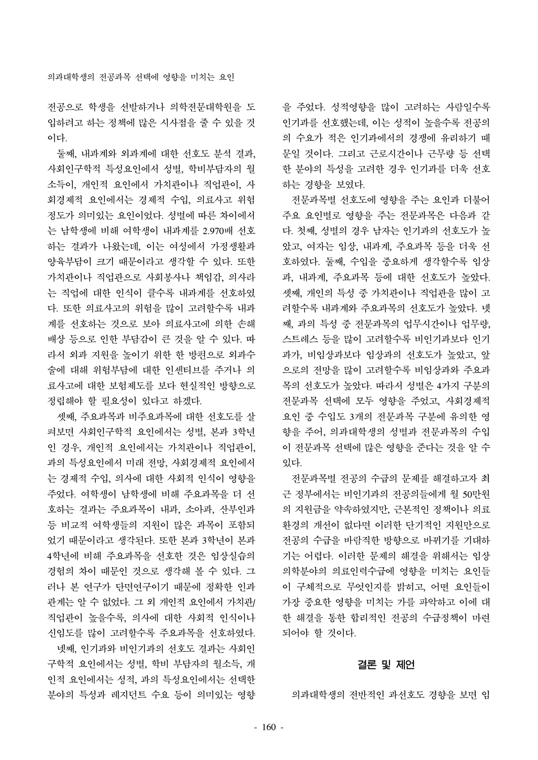전공으로 학생을 선발하거나 의학전문대학원을 도 입하려고 하는 정책에 많은 시사점을 줄 수 있을 것 이다.

 둘째, 내과계와 외과계에 대한 선호도 분석 결과, 사회인구학적 특성요인에서 성별, 학비부담자의 월 소득이, 개인적 요인에서 가치관이나 직업관이, 사 회경제적 요인에서는 경제적 수입, 의료사고 위험 정도가 의미있는 요인이었다. 성별에 따른 차이에서 는 남학생에 비해 여학생이 내과계를 2.970배 선호 하는 결과가 나왔는데, 이는 여성에서 가정생활과 양육부담이 크기 때문이라고 생각할 수 있다. 또한 가치관이나 직업관으로 사회봉사나 책임감, 의사라 는 직업에 대한 인식이 클수록 내과계를 선호하였 다. 또한 의료사고의 위험을 많이 고려할수록 내과 계를 선호하는 것으로 보아 의료사고에 의한 손해 배상 등으로 인한 부담감이 큰 것을 알 수 있다. 따 라서 외과 지원을 높이기 위한 한 방편으로 외과수 술에 대해 위험부담에 대한 인센티브를 주거나 의 료사고에 대한 보험제도를 보다 현실적인 방향으로 정립해야 할 필요성이 있다고 하겠다.

 셋째, 주요과목과 비주요과목에 대한 선호도를 살 펴보면 사회인구학적 요인에서는 성별, 본과 3학년 인 경우, 개인적 요인에서는 가치관이나 직업관이, 과의 특성요인에서 미래 전망, 사회경제적 요인에서 는 경제적 수입, 의사에 대한 사회적 인식이 영향을 주었다. 여학생이 남학생에 비해 주요과목을 더 선 호하는 결과는 주요과목이 내과, 소아과, 산부인과 등 비교적 여학생들의 지원이 많은 과목이 포함되 었기 때문이라고 생각된다. 또한 본과 3학년이 본과 4학년에 비해 주요과목을 선호한 것은 임상실습의 경험의 차이 때문인 것으로 생각해 볼 수 있다. 그 러나 본 연구가 단면연구이기 때문에 정확한 인과 관계는 알 수 없었다. 그 외 개인적 요인에서 가치관/ 직업관이 높을수록, 의사에 대한 사회적 인식이나 신임도를 많이 고려할수록 주요과목을 선호하였다. 넷째, 인기과와 비인기과의 선호도 결과는 사회인 구학적 요인에서는 성별, 학비 부담자의 월소득, 개 인적 요인에서는 성적, 과의 특성요인에서는 선택한 분야의 특성과 레지던트 수요 등이 의미있는 영향 을 주었다. 성적영향을 많이 고려하는 사람일수록 인기과를 선호했는데, 이는 성적이 높을수록 전공의 의 수요가 적은 인기과에서의 경쟁에 유리하기 때 문일 것이다. 그리고 근로시간이나 근무량 등 선택 한 분야의 특성을 고려한 경우 인기과를 더욱 선호 하는 경향을 보였다.

 전문과목별 선호도에 영향을 주는 요인과 더불어 주요 요인별로 영향을 주는 전문과목은 다음과 같 다. 첫째, 성별의 경우 남자는 인기과의 선호도가 높 았고, 여자는 임상, 내과계, 주요과목 등을 더욱 선 호하였다. 둘째, 수입을 중요하게 생각할수록 임상 과, 내과계, 주요과목 등에 대한 선호도가 높았다. 셋째, 개인의 특성 중 가치관이나 직업관을 많이 고 려할수록 내과계와 주요과목의 선호도가 높았다. 넷 째, 과의 특성 중 전문과목의 업무시간이나 업무량, 스트레스 등을 많이 고려할수록 비인기과보다 인기 과가, 비임상과보다 임상과의 선호도가 높았고, 앞 으로의 전망을 많이 고려할수록 비임상과와 주요과 목의 선호도가 높았다. 따라서 성별은 4가지 구분의 전문과목 선택에 모두 영향을 주었고, 사회경제적 요인 중 수입도 3개의 전문과목 구분에 유의한 영 향을 주어, 의과대학생의 성별과 전문과목의 수입 이 전문과목 선택에 많은 영향을 준다는 것을 알 수 있다.

 전문과목별 전공의 수급의 문제를 해결하고자 최 근 정부에서는 비인기과의 전공의들에게 월 50만원 의 지원금을 약속하였지만, 근본적인 정책이나 의료 환경의 개선이 없다면 이러한 단기적인 지원만으로 전공의 수급을 바람직한 방향으로 바뀌기를 기대하 기는 어렵다. 이러한 문제의 해결을 위해서는 임상 의학분야의 의료인력수급에 영향을 미치는 요인들 이 구체적으로 무엇인지를 밝히고, 어떤 요인들이 가장 중요한 영향을 미치는 가를 파악하고 이에 대 한 해결을 통한 합리적인 전공의 수급정책이 마련 되어야 할 것이다.

## 결론 및 제언

의과대학생의 전반적인 과선호도 경향을 보면 임